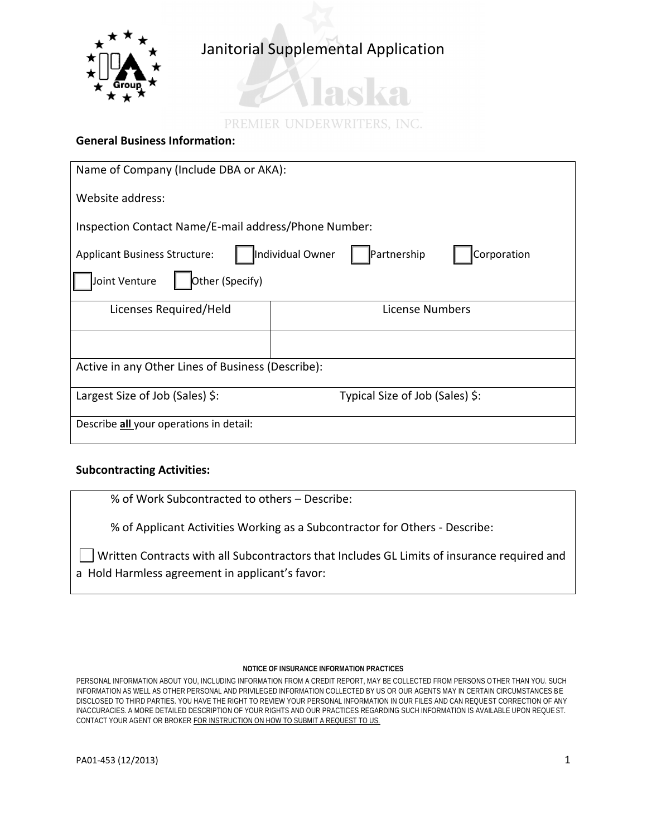

## Janitorial Supplemental Application

# 28 TO PREMIER UNDERWRITERS, INC.

## **General Business Information:**

| Name of Company (Include DBA or AKA):                                                  |  |  |  |  |
|----------------------------------------------------------------------------------------|--|--|--|--|
| Website address:                                                                       |  |  |  |  |
| Inspection Contact Name/E-mail address/Phone Number:                                   |  |  |  |  |
| Individual Owner<br>Partnership<br>Corporation<br><b>Applicant Business Structure:</b> |  |  |  |  |
| Other (Specify)<br>Joint Venture                                                       |  |  |  |  |
| Licenses Required/Held<br>License Numbers                                              |  |  |  |  |
|                                                                                        |  |  |  |  |
| Active in any Other Lines of Business (Describe):                                      |  |  |  |  |
| Largest Size of Job (Sales) \$:<br>Typical Size of Job (Sales) \$:                     |  |  |  |  |
| Describe all your operations in detail:                                                |  |  |  |  |

### **Subcontracting Activities:**

% of Work Subcontracted to others – Describe:

% of Applicant Activities Working as a Subcontractor for Others - Describe:

Written Contracts with all Subcontractors that Includes GL Limits of insurance required and a Hold Harmless agreement in applicant's favor:

### **NOTICE OF INSURANCE INFORMATION PRACTICES**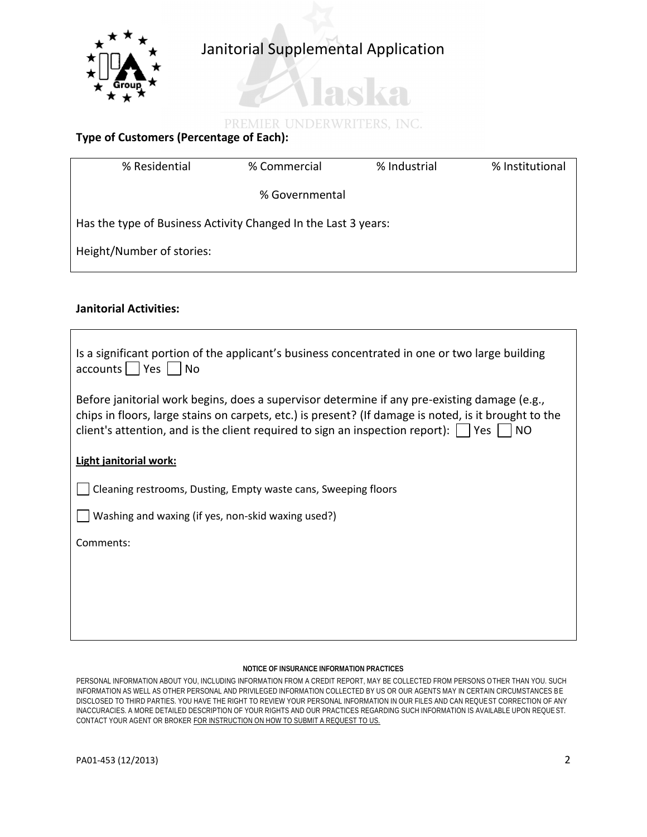

## PREMIER UNDERWRITERS, INC.

aska

## **Type of Customers (Percentage of Each):**

| % Residential                                                  | % Commercial   | % Industrial | % Institutional |  |  |
|----------------------------------------------------------------|----------------|--------------|-----------------|--|--|
|                                                                | % Governmental |              |                 |  |  |
| Has the type of Business Activity Changed In the Last 3 years: |                |              |                 |  |  |
| Height/Number of stories:                                      |                |              |                 |  |  |

### **Janitorial Activities:**

| Is a significant portion of the applicant's business concentrated in one or two large building<br>$accounds \mid \nvert$ Yes<br><b>No</b>                                                                                                                                                                      |
|----------------------------------------------------------------------------------------------------------------------------------------------------------------------------------------------------------------------------------------------------------------------------------------------------------------|
| Before janitorial work begins, does a supervisor determine if any pre-existing damage (e.g.,<br>chips in floors, large stains on carpets, etc.) is present? (If damage is noted, is it brought to the<br>client's attention, and is the client required to sign an inspection report): $\Box$ Yes<br><b>NO</b> |
| Light janitorial work:                                                                                                                                                                                                                                                                                         |
| Cleaning restrooms, Dusting, Empty waste cans, Sweeping floors                                                                                                                                                                                                                                                 |
| Washing and waxing (if yes, non-skid waxing used?)                                                                                                                                                                                                                                                             |
| Comments:                                                                                                                                                                                                                                                                                                      |
|                                                                                                                                                                                                                                                                                                                |
|                                                                                                                                                                                                                                                                                                                |
|                                                                                                                                                                                                                                                                                                                |

### **NOTICE OF INSURANCE INFORMATION PRACTICES**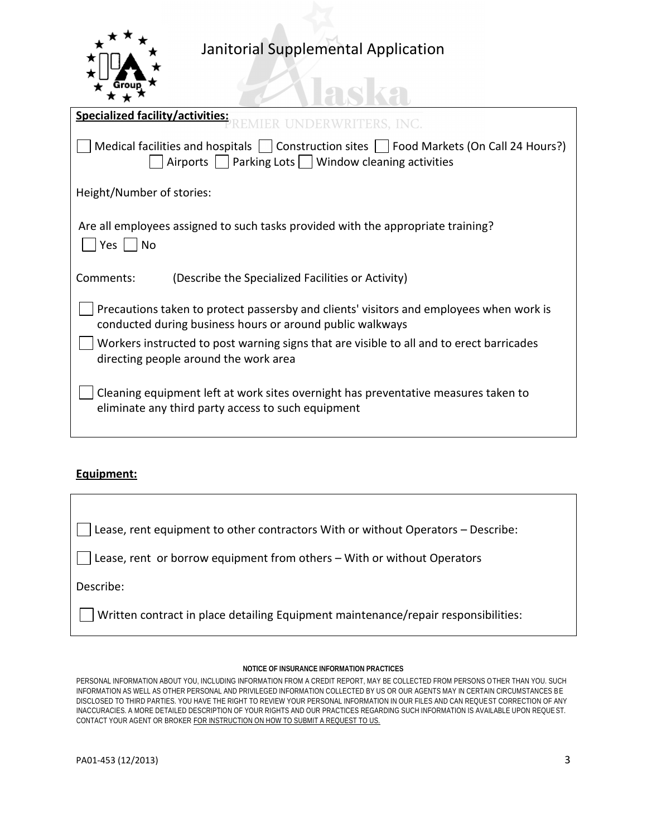

## Janitorial Supplemental Application

| <b>Specialized facility/activities:</b><br>RWRITERS, INC.                                                                                                                        |  |  |
|----------------------------------------------------------------------------------------------------------------------------------------------------------------------------------|--|--|
| Medical facilities and hospitals $\vert \ \vert$ Construction sites $\vert \ \vert$ Food Markets (On Call 24 Hours?)<br>Airports     Parking Lots     Window cleaning activities |  |  |
| Height/Number of stories:                                                                                                                                                        |  |  |
| Are all employees assigned to such tasks provided with the appropriate training?<br>Yes  <br>N <sub>O</sub>                                                                      |  |  |
| Comments:<br>(Describe the Specialized Facilities or Activity)                                                                                                                   |  |  |
| Precautions taken to protect passersby and clients' visitors and employees when work is<br>conducted during business hours or around public walkways                             |  |  |
| Workers instructed to post warning signs that are visible to all and to erect barricades<br>directing people around the work area                                                |  |  |
| Cleaning equipment left at work sites overnight has preventative measures taken to<br>eliminate any third party access to such equipment                                         |  |  |

## **Equipment:**

Lease, rent equipment to other contractors With or without Operators – Describe:

Lease, rent or borrow equipment from others – With or without Operators

Describe:

Written contract in place detailing Equipment maintenance/repair responsibilities:

### **NOTICE OF INSURANCE INFORMATION PRACTICES**